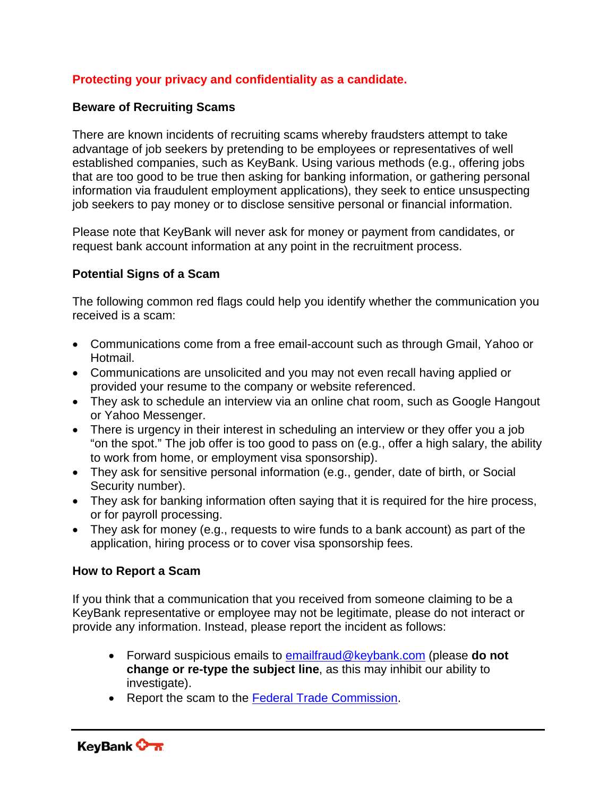## **Protecting your privacy and confidentiality as a candidate.**

## **Beware of Recruiting Scams**

There are known incidents of recruiting scams whereby fraudsters attempt to take advantage of job seekers by pretending to be employees or representatives of well established companies, such as KeyBank. Using various methods (e.g., offering jobs that are too good to be true then asking for banking information, or gathering personal information via fraudulent employment applications), they seek to entice unsuspecting job seekers to pay money or to disclose sensitive personal or financial information.

Please note that KeyBank will never ask for money or payment from candidates, or request bank account information at any point in the recruitment process.

## **Potential Signs of a Scam**

The following common red flags could help you identify whether the communication you received is a scam:

- Communications come from a free email-account such as through Gmail, Yahoo or Hotmail.
- Communications are unsolicited and you may not even recall having applied or provided your resume to the company or website referenced.
- They ask to schedule an interview via an online chat room, such as Google Hangout or Yahoo Messenger.
- There is urgency in their interest in scheduling an interview or they offer you a job "on the spot." The job offer is too good to pass on (e.g., offer a high salary, the ability to work from home, or employment visa sponsorship).
- They ask for sensitive personal information (e.g., gender, date of birth, or Social Security number).
- They ask for banking information often saying that it is required for the hire process, or for payroll processing.
- They ask for money (e.g., requests to wire funds to a bank account) as part of the application, hiring process or to cover visa sponsorship fees.

## **How to Report a Scam**

If you think that a communication that you received from someone claiming to be a KeyBank representative or employee may not be legitimate, please do not interact or provide any information. Instead, please report the incident as follows:

- Forward suspicious emails to emailfraud@keybank.com (please **do not change or re-type the subject line**, as this may inhibit our ability to investigate).
- Report the scam to the Federal Trade Commission.

KeyBank **On**